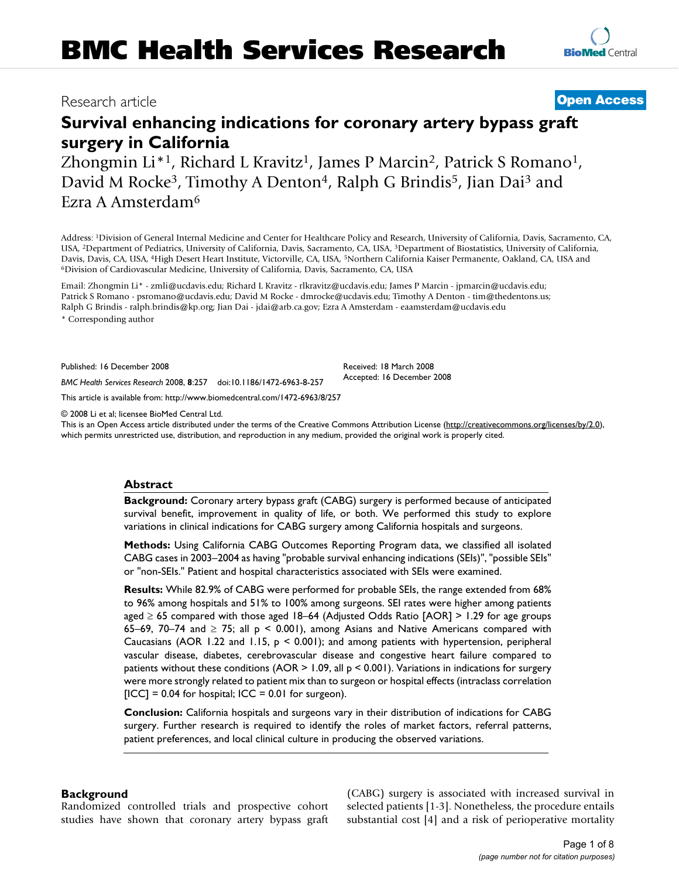# **Survival enhancing indications for coronary artery bypass graft surgery in California**

Zhongmin Li<sup>\*1</sup>, Richard L Kravitz<sup>1</sup>, James P Marcin<sup>2</sup>, Patrick S Romano<sup>1</sup>, David M Rocke<sup>3</sup>, Timothy A Denton<sup>4</sup>, Ralph G Brindis<sup>5</sup>, Jian Dai<sup>3</sup> and Ezra A Amsterdam6

Address: 1Division of General Internal Medicine and Center for Healthcare Policy and Research, University of California, Davis, Sacramento, CA, USA, 2Department of Pediatrics, University of California, Davis, Sacramento, CA, USA, 3Department of Biostatistics, University of California, Davis, Davis, CA, USA, <sup>4</sup>High Desert Heart Institute, Victorville, CA, USA, <sup>5</sup>Northern California Kaiser Permanente, Oakland, CA, USA and <sup>6</sup>Division of Cardiovascular Medicine, University of California, Davis, Sacrament

Email: Zhongmin Li\* - zmli@ucdavis.edu; Richard L Kravitz - rlkravitz@ucdavis.edu; James P Marcin - jpmarcin@ucdavis.edu; Patrick S Romano - psromano@ucdavis.edu; David M Rocke - dmrocke@ucdavis.edu; Timothy A Denton - tim@thedentons.us; Ralph G Brindis - ralph.brindis@kp.org; Jian Dai - jdai@arb.ca.gov; Ezra A Amsterdam - eaamsterdam@ucdavis.edu \* Corresponding author

Published: 16 December 2008

Received: 18 March 2008 Accepted: 16 December 2008

*BMC Health Services Research* 2008, **8**:257 doi:10.1186/1472-6963-8-257 [This article is available from: http://www.biomedcentral.com/1472-6963/8/257](http://www.biomedcentral.com/1472-6963/8/257)

© 2008 Li et al; licensee BioMed Central Ltd.

This is an Open Access article distributed under the terms of the Creative Commons Attribution License [\(http://creativecommons.org/licenses/by/2.0\)](http://creativecommons.org/licenses/by/2.0), which permits unrestricted use, distribution, and reproduction in any medium, provided the original work is properly cited.

### **Abstract**

**Background:** Coronary artery bypass graft (CABG) surgery is performed because of anticipated survival benefit, improvement in quality of life, or both. We performed this study to explore variations in clinical indications for CABG surgery among California hospitals and surgeons.

**Methods:** Using California CABG Outcomes Reporting Program data, we classified all isolated CABG cases in 2003–2004 as having "probable survival enhancing indications (SEIs)", "possible SEIs" or "non-SEIs." Patient and hospital characteristics associated with SEIs were examined.

**Results:** While 82.9% of CABG were performed for probable SEIs, the range extended from 68% to 96% among hospitals and 51% to 100% among surgeons. SEI rates were higher among patients aged  $\geq$  65 compared with those aged 18–64 (Adjusted Odds Ratio [AOR] > 1.29 for age groups 65–69, 70–74 and  $\geq$  75; all p < 0.001), among Asians and Native Americans compared with Caucasians (AOR 1.22 and 1.15,  $p < 0.001$ ); and among patients with hypertension, peripheral vascular disease, diabetes, cerebrovascular disease and congestive heart failure compared to patients without these conditions (AOR  $> 1.09$ , all  $p < 0.001$ ). Variations in indications for surgery were more strongly related to patient mix than to surgeon or hospital effects (intraclass correlation  $[ICC] = 0.04$  for hospital;  $ICC = 0.01$  for surgeon).

**Conclusion:** California hospitals and surgeons vary in their distribution of indications for CABG surgery. Further research is required to identify the roles of market factors, referral patterns, patient preferences, and local clinical culture in producing the observed variations.

# **Background**

Randomized controlled trials and prospective cohort studies have shown that coronary artery bypass graft (CABG) surgery is associated with increased survival in selected patients [1-[3](#page-6-0)]. Nonetheless, the procedure entails substantial cost [4] and a risk of perioperative mortality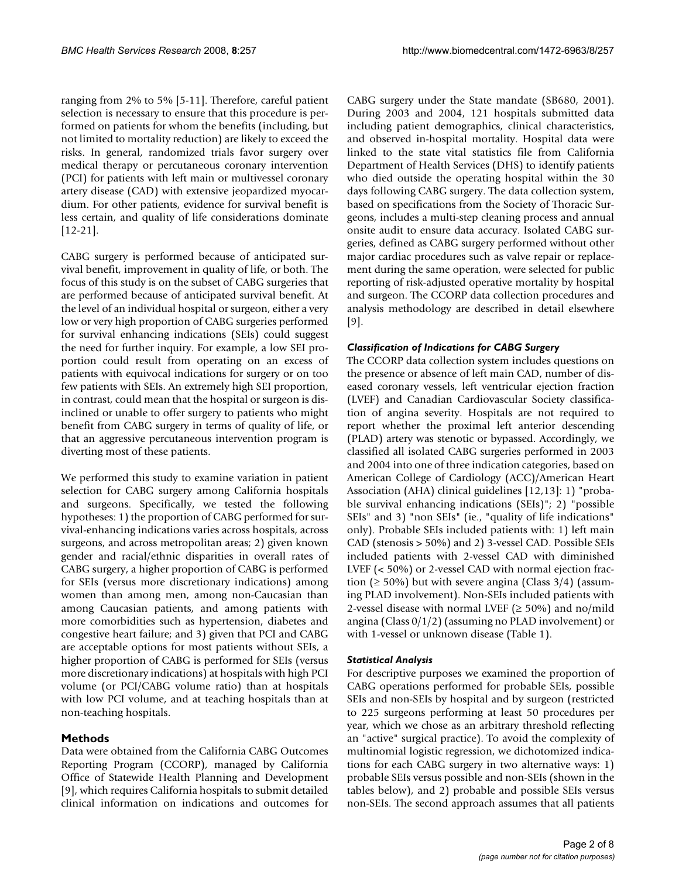ranging from 2% to 5% [5-11]. Therefore, careful patient selection is necessary to ensure that this procedure is performed on patients for whom the benefits (including, but not limited to mortality reduction) are likely to exceed the risks. In general, randomized trials favor surgery over medical therapy or percutaneous coronary intervention (PCI) for patients with left main or multivessel coronary artery disease (CAD) with extensive jeopardized myocardium. For other patients, evidence for survival benefit is less certain, and quality of life considerations dominate [12-21].

CABG surgery is performed because of anticipated survival benefit, improvement in quality of life, or both. The focus of this study is on the subset of CABG surgeries that are performed because of anticipated survival benefit. At the level of an individual hospital or surgeon, either a very low or very high proportion of CABG surgeries performed for survival enhancing indications (SEIs) could suggest the need for further inquiry. For example, a low SEI proportion could result from operating on an excess of patients with equivocal indications for surgery or on too few patients with SEIs. An extremely high SEI proportion, in contrast, could mean that the hospital or surgeon is disinclined or unable to offer surgery to patients who might benefit from CABG surgery in terms of quality of life, or that an aggressive percutaneous intervention program is diverting most of these patients.

We performed this study to examine variation in patient selection for CABG surgery among California hospitals and surgeons. Specifically, we tested the following hypotheses: 1) the proportion of CABG performed for survival-enhancing indications varies across hospitals, across surgeons, and across metropolitan areas; 2) given known gender and racial/ethnic disparities in overall rates of CABG surgery, a higher proportion of CABG is performed for SEIs (versus more discretionary indications) among women than among men, among non-Caucasian than among Caucasian patients, and among patients with more comorbidities such as hypertension, diabetes and congestive heart failure; and 3) given that PCI and CABG are acceptable options for most patients without SEIs, a higher proportion of CABG is performed for SEIs (versus more discretionary indications) at hospitals with high PCI volume (or PCI/CABG volume ratio) than at hospitals with low PCI volume, and at teaching hospitals than at non-teaching hospitals.

# **Methods**

Data were obtained from the California CABG Outcomes Reporting Program (CCORP), managed by California Office of Statewide Health Planning and Development [9], which requires California hospitals to submit detailed clinical information on indications and outcomes for

CABG surgery under the State mandate (SB680, 2001). During 2003 and 2004, 121 hospitals submitted data including patient demographics, clinical characteristics, and observed in-hospital mortality. Hospital data were linked to the state vital statistics file from California Department of Health Services (DHS) to identify patients who died outside the operating hospital within the 30 days following CABG surgery. The data collection system, based on specifications from the Society of Thoracic Surgeons, includes a multi-step cleaning process and annual onsite audit to ensure data accuracy. Isolated CABG surgeries, defined as CABG surgery performed without other major cardiac procedures such as valve repair or replacement during the same operation, were selected for public reporting of risk-adjusted operative mortality by hospital and surgeon. The CCORP data collection procedures and analysis methodology are described in detail elsewhere [9].

# *Classification of Indications for CABG Surgery*

The CCORP data collection system includes questions on the presence or absence of left main CAD, number of diseased coronary vessels, left ventricular ejection fraction (LVEF) and Canadian Cardiovascular Society classification of angina severity. Hospitals are not required to report whether the proximal left anterior descending (PLAD) artery was stenotic or bypassed. Accordingly, we classified all isolated CABG surgeries performed in 2003 and 2004 into one of three indication categories, based on American College of Cardiology (ACC)/American Heart Association (AHA) clinical guidelines [12,13]: 1) "probable survival enhancing indications (SEIs)"; 2) "possible SEIs" and 3) "non SEIs" (ie., "quality of life indications" only). Probable SEIs included patients with: 1) left main CAD (stenosis > 50%) and 2) 3-vessel CAD. Possible SEIs included patients with 2-vessel CAD with diminished LVEF (< 50%) or 2-vessel CAD with normal ejection fraction ( $\geq 50\%$ ) but with severe angina (Class 3/4) (assuming PLAD involvement). Non-SEIs included patients with 2-vessel disease with normal LVEF ( $\geq 50\%$ ) and no/mild angina (Class 0/1/2) (assuming no PLAD involvement) or with 1-vessel or unknown disease (Table 1).

# *Statistical Analysis*

For descriptive purposes we examined the proportion of CABG operations performed for probable SEIs, possible SEIs and non-SEIs by hospital and by surgeon (restricted to 225 surgeons performing at least 50 procedures per year, which we chose as an arbitrary threshold reflecting an "active" surgical practice). To avoid the complexity of multinomial logistic regression, we dichotomized indications for each CABG surgery in two alternative ways: 1) probable SEIs versus possible and non-SEIs (shown in the tables below), and 2) probable and possible SEIs versus non-SEIs. The second approach assumes that all patients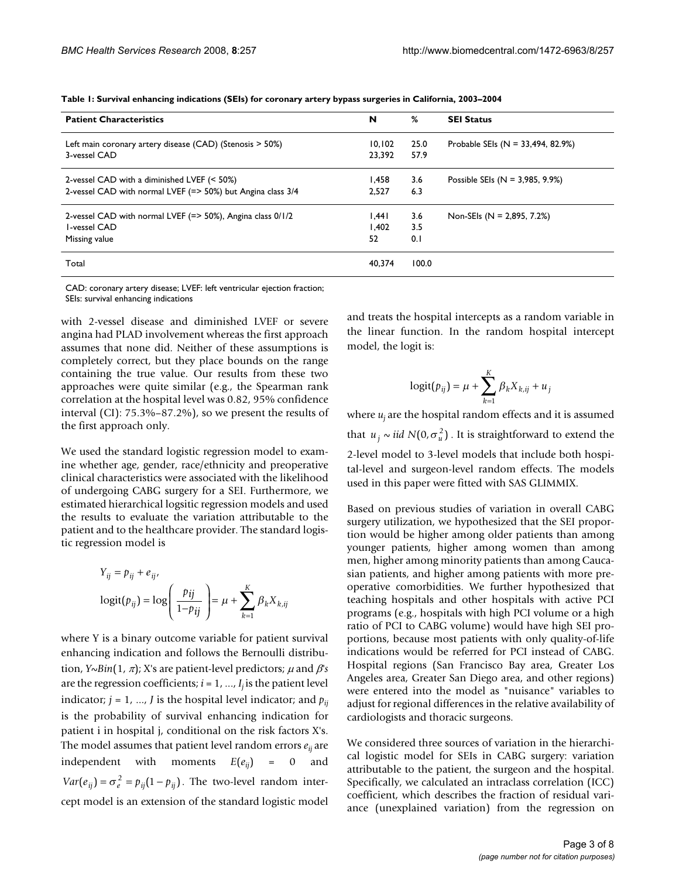| <b>Patient Characteristics</b>                              | N      | %     | <b>SEI Status</b>                      |
|-------------------------------------------------------------|--------|-------|----------------------------------------|
| Left main coronary artery disease (CAD) (Stenosis > 50%)    | 10.102 | 25.0  | Probable SEIs ( $N = 33,494, 82.9\%$ ) |
| 3-vessel CAD                                                | 23.392 | 57.9  |                                        |
| 2-vessel CAD with a diminished LVEF (< 50%)                 | 1,458  | 3.6   | Possible SEIs ( $N = 3,985, 9.9\%$ )   |
| 2-vessel CAD with normal LVEF (=> 50%) but Angina class 3/4 | 2.527  | 6.3   |                                        |
| 2-vessel CAD with normal LVEF (=> 50%), Angina class 0/1/2  | .44    | 3.6   | Non-SEIs (N = 2,895, 7.2%)             |
| I-vessel CAD                                                | 1.402  | 3.5   |                                        |
| Missing value                                               | 52     | 0.1   |                                        |
| Total                                                       | 40.374 | 100.0 |                                        |

**Table 1: Survival enhancing indications (SEIs) for coronary artery bypass surgeries in California, 2003–2004**

CAD: coronary artery disease; LVEF: left ventricular ejection fraction; SEIs: survival enhancing indications

with 2-vessel disease and diminished LVEF or severe angina had PLAD involvement whereas the first approach assumes that none did. Neither of these assumptions is completely correct, but they place bounds on the range containing the true value. Our results from these two approaches were quite similar (e.g., the Spearman rank correlation at the hospital level was 0.82, 95% confidence interval (CI): 75.3%–87.2%), so we present the results of the first approach only.

We used the standard logistic regression model to examine whether age, gender, race/ethnicity and preoperative clinical characteristics were associated with the likelihood of undergoing CABG surgery for a SEI. Furthermore, we estimated hierarchical logsitic regression models and used the results to evaluate the variation attributable to the patient and to the healthcare provider. The standard logistic regression model is

$$
Y_{ij} = p_{ij} + e_{ij},
$$
  

$$
logit(p_{ij}) = log\left(\frac{p_{ij}}{1 - p_{ij}}\right) = \mu + \sum_{k=1}^{K} \beta_k X_{k,ij}
$$

where Y is a binary outcome variable for patient survival enhancing indication and follows the Bernoulli distribution, *Y*~*Bin*(1,  $\pi$ ); *X*'s are patient-level predictors;  $\mu$  and  $\beta$ 's are the regression coefficients;  $i = 1, ..., I<sub>i</sub>$  is the patient level indicator;  $j = 1, ..., J$  is the hospital level indicator; and  $p_{ij}$ is the probability of survival enhancing indication for patient i in hospital j, conditional on the risk factors X's. The model assumes that patient level random errors  $e_{ii}$  are independent with moments  $E(e_{ii}) = 0$  and  $Var(e_{ij}) = \sigma_e^2 = p_{ij} (1 - p_{ij})$ . The two-level random intercept model is an extension of the standard logistic model

and treats the hospital intercepts as a random variable in the linear function. In the random hospital intercept model, the logit is:

$$
logit(p_{ij}) = \mu + \sum_{k=1}^{K} \beta_k X_{k,ij} + u_j
$$

where  $u_i$  are the hospital random effects and it is assumed that  $u_j \sim iid N(0, \sigma_u^2)$ . It is straightforward to extend the 2-level model to 3-level models that include both hospital-level and surgeon-level random effects. The models used in this paper were fitted with SAS GLIMMIX.

Based on previous studies of variation in overall CABG surgery utilization, we hypothesized that the SEI proportion would be higher among older patients than among younger patients, higher among women than among men, higher among minority patients than among Caucasian patients, and higher among patients with more preoperative comorbidities. We further hypothesized that teaching hospitals and other hospitals with active PCI programs (e.g., hospitals with high PCI volume or a high ratio of PCI to CABG volume) would have high SEI proportions, because most patients with only quality-of-life indications would be referred for PCI instead of CABG. Hospital regions (San Francisco Bay area, Greater Los Angeles area, Greater San Diego area, and other regions) were entered into the model as "nuisance" variables to adjust for regional differences in the relative availability of cardiologists and thoracic surgeons.

We considered three sources of variation in the hierarchical logistic model for SEIs in CABG surgery: variation attributable to the patient, the surgeon and the hospital. Specifically, we calculated an intraclass correlation (ICC) coefficient, which describes the fraction of residual variance (unexplained variation) from the regression on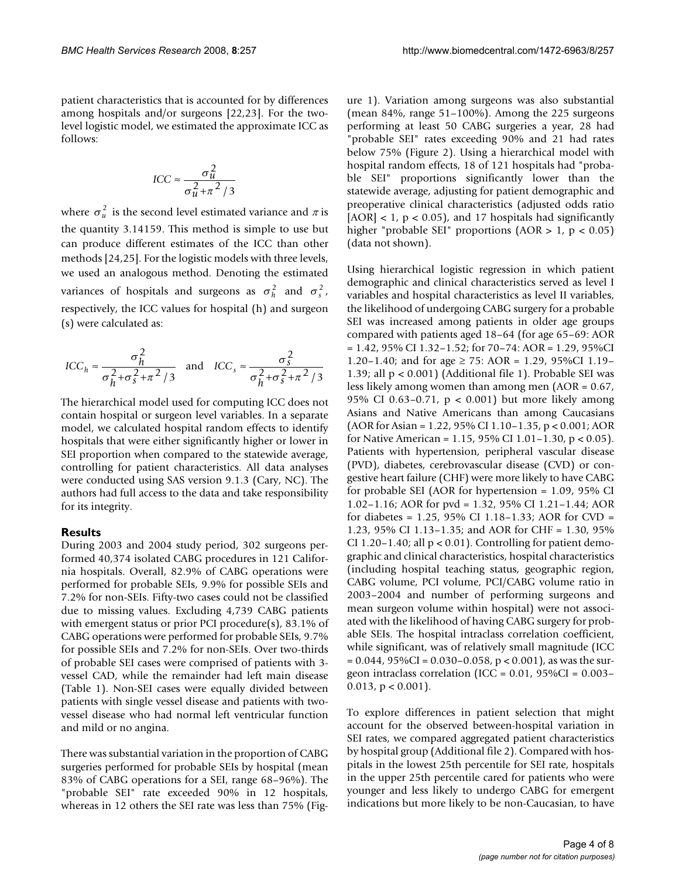patient characteristics that is accounted for by differences among hospitals and/or surgeons [22,23]. For the twolevel logistic model, we estimated the approximate ICC as follows:

$$
ICC \approx \frac{\sigma_u^2}{\sigma_u^2 + \pi^2 / 3}
$$

where  $\sigma_u^2$  is the second level estimated variance and  $\pi$  is the quantity 3.14159. This method is simple to use but can produce different estimates of the ICC than other methods [24,25]. For the logistic models with three levels, we used an analogous method. Denoting the estimated variances of hospitals and surgeons as  $\sigma_h^2$  and  $\sigma_s^2$ , respectively, the ICC values for hospital (h) and surgeon (s) were calculated as:

$$
ICC_h \approx \frac{\sigma_h^2}{\sigma_h^2 + \sigma_s^2 + \pi^2 / 3}
$$
 and 
$$
ICC_s \approx \frac{\sigma_s^2}{\sigma_h^2 + \sigma_s^2 + \pi^2 / 3}
$$

The hierarchical model used for computing ICC does not contain hospital or surgeon level variables. In a separate model, we calculated hospital random effects to identify hospitals that were either significantly higher or lower in SEI proportion when compared to the statewide average, controlling for patient characteristics. All data analyses were conducted using SAS version 9.1.3 (Cary, NC). The authors had full access to the data and take responsibility for its integrity.

# **Results**

During 2003 and 2004 study period, 302 surgeons performed 40,374 isolated CABG procedures in 121 California hospitals. Overall, 82.9% of CABG operations were performed for probable SEIs, 9.9% for possible SEIs and 7.2% for non-SEIs. Fifty-two cases could not be classified due to missing values. Excluding 4,739 CABG patients with emergent status or prior PCI procedure(s), 83.1% of CABG operations were performed for probable SEIs, 9.7% for possible SEIs and 7.2% for non-SEIs. Over two-thirds of probable SEI cases were comprised of patients with 3 vessel CAD, while the remainder had left main disease (Table 1). Non-SEI cases were equally divided between patients with single vessel disease and patients with twovessel disease who had normal left ventricular function and mild or no angina.

There was substantial variation in the proportion of CABG surgeries performed for probable SEIs by hospital (mean 83% of CABG operations for a SEI, range 68–96%). The "probable SEI" rate exceeded 90% in 12 hospitals, whereas in 12 others the SEI rate was less than 75% (Figure 1). Variation among surgeons was also substantial (mean 84%, range 51–100%). Among the 225 surgeons performing at least 50 CABG surgeries a year, 28 had "probable SEI" rates exceeding 90% and 21 had rates below 75% (Figure 2). Using a hierarchical model with hospital random effects, 18 of 121 hospitals had "probable SEI" proportions significantly lower than the statewide average, adjusting for patient demographic and preoperative clinical characteristics (adjusted odds ratio  $[AOR] < 1$ ,  $p < 0.05$ , and 17 hospitals had significantly higher "probable SEI" proportions ( $AOR > 1$ ,  $p < 0.05$ ) (data not shown).

Using hierarchical logistic regression in which patient demographic and clinical characteristics served as level I variables and hospital characteristics as level II variables, the likelihood of undergoing CABG surgery for a probable SEI was increased among patients in older age groups compared with patients aged 18–64 (for age 65–69: AOR  $= 1.42$ , 95% CI 1.32–1.52; for 70–74: AOR = 1.29, 95%CI 1.20–1.40; and for age  $\geq$  75: AOR = 1.29, 95%CI 1.19– 1.39; all p < 0.001) (Additional file 1). Probable SEI was less likely among women than among men (AOR = 0.67, 95% CI 0.63–0.71, p < 0.001) but more likely among Asians and Native Americans than among Caucasians (AOR for Asian = 1.22, 95% CI 1.10–1.35, p < 0.001; AOR for Native American = 1.15, 95% CI 1.01–1.30, p < 0.05). Patients with hypertension, peripheral vascular disease (PVD), diabetes, cerebrovascular disease (CVD) or congestive heart failure (CHF) were more likely to have CABG for probable SEI (AOR for hypertension = 1.09, 95% CI 1.02–1.16; AOR for pvd = 1.32, 95% CI 1.21–1.44; AOR for diabetes = 1.25, 95% CI 1.18–1.33; AOR for CVD = 1.23, 95% CI 1.13–1.35; and AOR for CHF = 1.30, 95% CI 1.20–1.40; all  $p < 0.01$ ). Controlling for patient demographic and clinical characteristics, hospital characteristics (including hospital teaching status, geographic region, CABG volume, PCI volume, PCI/CABG volume ratio in 2003–2004 and number of performing surgeons and mean surgeon volume within hospital) were not associated with the likelihood of having CABG surgery for probable SEIs. The hospital intraclass correlation coefficient, while significant, was of relatively small magnitude (ICC  $= 0.044$ , 95%CI = 0.030–0.058, p < 0.001), as was the surgeon intraclass correlation (ICC = 0.01, 95%CI = 0.003– 0.013,  $p < 0.001$ ).

To explore differences in patient selection that might account for the observed between-hospital variation in SEI rates, we compared aggregated patient characteristics by hospital group (Additional file 2). Compared with hospitals in the lowest 25th percentile for SEI rate, hospitals in the upper 25th percentile cared for patients who were younger and less likely to undergo CABG for emergent indications but more likely to be non-Caucasian, to have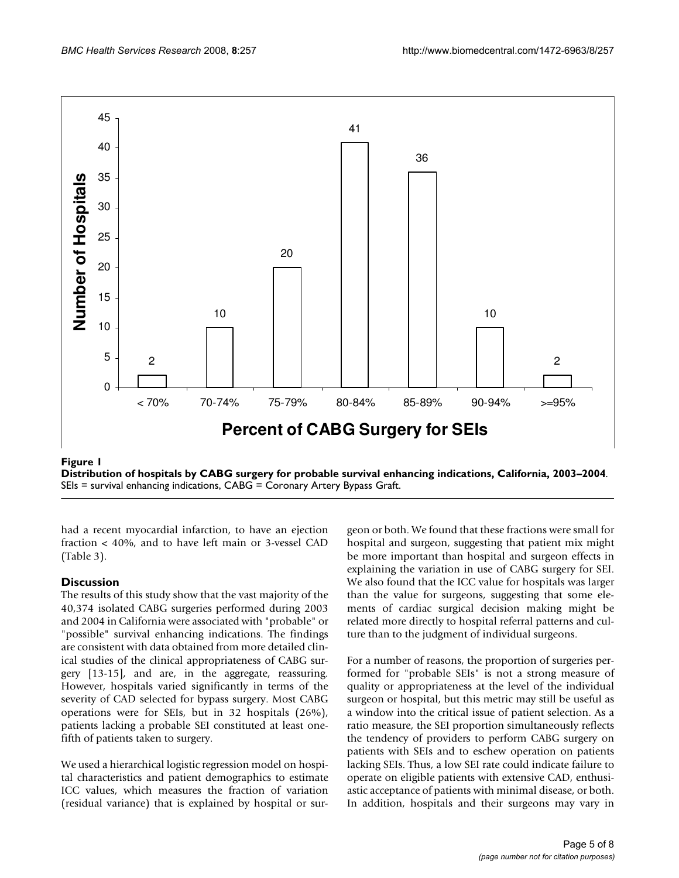

# Distribution of hospitals by CABG surgery for probab **Figure 1** le survival enhancing indications, California, 2003–2004

**Distribution of hospitals by CABG surgery for probable survival enhancing indications, California, 2003–2004**. SEIs = survival enhancing indications, CABG = Coronary Artery Bypass Graft.

had a recent myocardial infarction, to have an ejection fraction < 40%, and to have left main or 3-vessel CAD (Table 3).

# **Discussion**

The results of this study show that the vast majority of the 40,374 isolated CABG surgeries performed during 2003 and 2004 in California were associated with "probable" or "possible" survival enhancing indications. The findings are consistent with data obtained from more detailed clinical studies of the clinical appropriateness of CABG surgery [13-15], and are, in the aggregate, reassuring. However, hospitals varied significantly in terms of the severity of CAD selected for bypass surgery. Most CABG operations were for SEIs, but in 32 hospitals (26%), patients lacking a probable SEI constituted at least onefifth of patients taken to surgery.

We used a hierarchical logistic regression model on hospital characteristics and patient demographics to estimate ICC values, which measures the fraction of variation (residual variance) that is explained by hospital or surgeon or both. We found that these fractions were small for hospital and surgeon, suggesting that patient mix might be more important than hospital and surgeon effects in explaining the variation in use of CABG surgery for SEI. We also found that the ICC value for hospitals was larger than the value for surgeons, suggesting that some elements of cardiac surgical decision making might be related more directly to hospital referral patterns and culture than to the judgment of individual surgeons.

For a number of reasons, the proportion of surgeries performed for "probable SEIs" is not a strong measure of quality or appropriateness at the level of the individual surgeon or hospital, but this metric may still be useful as a window into the critical issue of patient selection. As a ratio measure, the SEI proportion simultaneously reflects the tendency of providers to perform CABG surgery on patients with SEIs and to eschew operation on patients lacking SEIs. Thus, a low SEI rate could indicate failure to operate on eligible patients with extensive CAD, enthusiastic acceptance of patients with minimal disease, or both. In addition, hospitals and their surgeons may vary in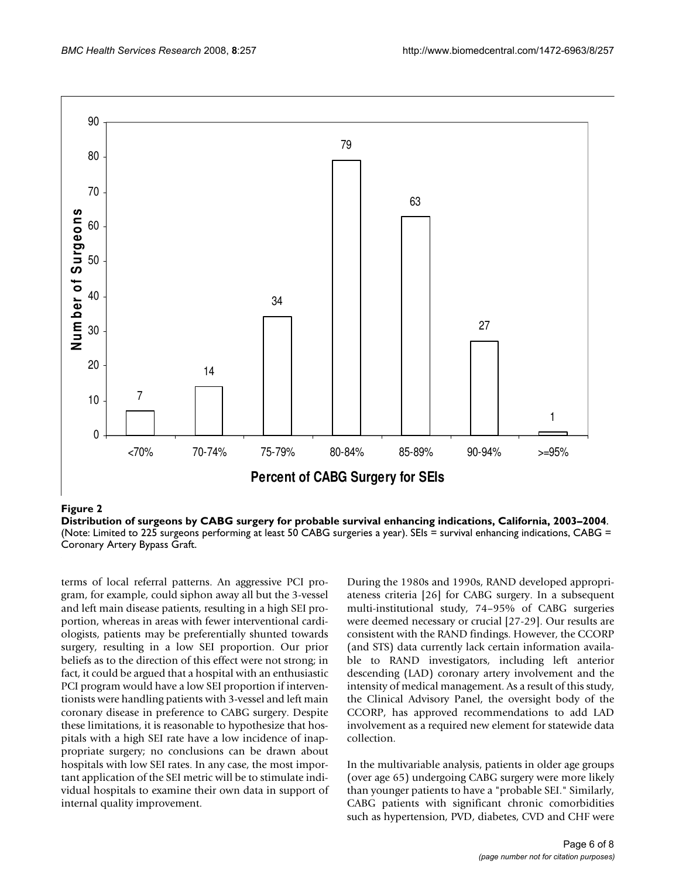

Distribution of Surgeons by CABG surgery for probab **Figure 2** le survival enhancing indications, California, 2003–2004 **Distribution of surgeons by CABG surgery for probable survival enhancing indications, California, 2003–2004**. (Note: Limited to 225 surgeons performing at least 50 CABG surgeries a year). SEIs = survival enhancing indications, CABG = Coronary Artery Bypass Graft.

terms of local referral patterns. An aggressive PCI program, for example, could siphon away all but the 3-vessel and left main disease patients, resulting in a high SEI proportion, whereas in areas with fewer interventional cardiologists, patients may be preferentially shunted towards surgery, resulting in a low SEI proportion. Our prior beliefs as to the direction of this effect were not strong; in fact, it could be argued that a hospital with an enthusiastic PCI program would have a low SEI proportion if interventionists were handling patients with 3-vessel and left main coronary disease in preference to CABG surgery. Despite these limitations, it is reasonable to hypothesize that hospitals with a high SEI rate have a low incidence of inappropriate surgery; no conclusions can be drawn about hospitals with low SEI rates. In any case, the most important application of the SEI metric will be to stimulate individual hospitals to examine their own data in support of internal quality improvement.

During the 1980s and 1990s, RAND developed appropriateness criteria [26] for CABG surgery. In a subsequent multi-institutional study, 74–95% of CABG surgeries were deemed necessary or crucial [27-29]. Our results are consistent with the RAND findings. However, the CCORP (and STS) data currently lack certain information available to RAND investigators, including left anterior descending (LAD) coronary artery involvement and the intensity of medical management. As a result of this study, the Clinical Advisory Panel, the oversight body of the CCORP, has approved recommendations to add LAD involvement as a required new element for statewide data collection.

In the multivariable analysis, patients in older age groups (over age 65) undergoing CABG surgery were more likely than younger patients to have a "probable SEI." Similarly, CABG patients with significant chronic comorbidities such as hypertension, PVD, diabetes, CVD and CHF were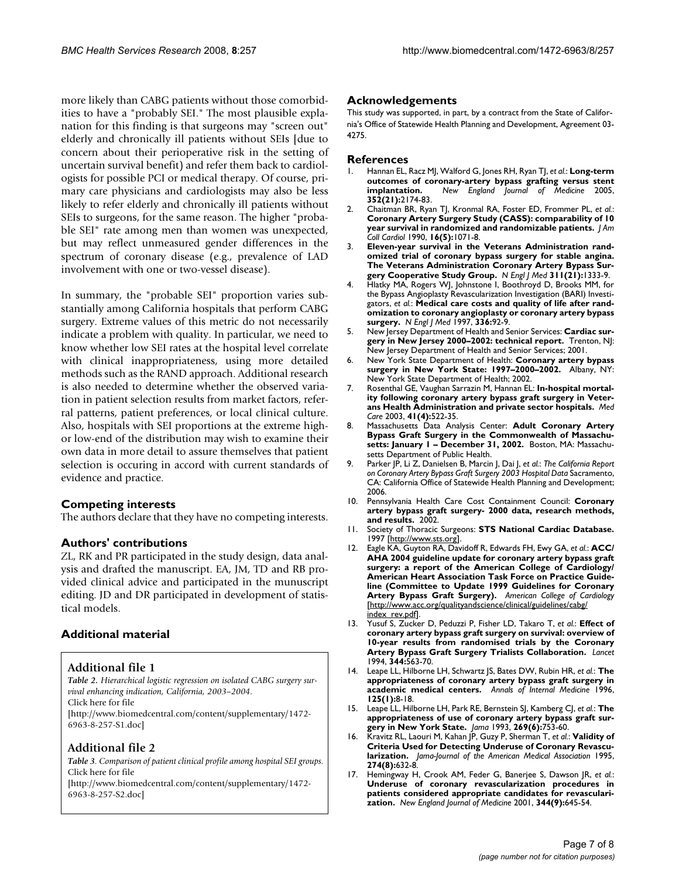more likely than CABG patients without those comorbidities to have a "probably SEI." The most plausible explanation for this finding is that surgeons may "screen out" elderly and chronically ill patients without SEIs [due to concern about their perioperative risk in the setting of uncertain survival benefit) and refer them back to cardiologists for possible PCI or medical therapy. Of course, primary care physicians and cardiologists may also be less likely to refer elderly and chronically ill patients without SEIs to surgeons, for the same reason. The higher "probable SEI" rate among men than women was unexpected, but may reflect unmeasured gender differences in the spectrum of coronary disease (e.g., prevalence of LAD involvement with one or two-vessel disease).

In summary, the "probable SEI" proportion varies substantially among California hospitals that perform CABG surgery. Extreme values of this metric do not necessarily indicate a problem with quality. In particular, we need to know whether low SEI rates at the hospital level correlate with clinical inappropriateness, using more detailed methods such as the RAND approach. Additional research is also needed to determine whether the observed variation in patient selection results from market factors, referral patterns, patient preferences, or local clinical culture. Also, hospitals with SEI proportions at the extreme highor low-end of the distribution may wish to examine their own data in more detail to assure themselves that patient selection is occuring in accord with current standards of evidence and practice.

# **Competing interests**

The authors declare that they have no competing interests.

# **Authors' contributions**

ZL, RK and PR participated in the study design, data analysis and drafted the manuscript. EA, JM, TD and RB provided clinical advice and participated in the munuscript editing. JD and DR participated in development of statistical models.

# **Additional material**

# **Additional file 1**

*Table 2. Hierarchical logistic regression on isolated CABG surgery survival enhancing indication, California, 2003–2004.*

Click here for file

[\[http://www.biomedcentral.com/content/supplementary/1472-](http://www.biomedcentral.com/content/supplementary/1472-6963-8-257-S1.doc) 6963-8-257-S1.doc]

# **Additional file 2**

*Table 3. Comparison of patient clinical profile among hospital SEI groups.* Click here for file

[\[http://www.biomedcentral.com/content/supplementary/1472-](http://www.biomedcentral.com/content/supplementary/1472-6963-8-257-S2.doc) 6963-8-257-S2.doc]

# **Acknowledgements**

This study was supported, in part, by a contract from the State of California's Office of Statewide Health Planning and Development, Agreement 03- 4275.

### **References**

- 1. Hannan EL, Racz MJ, Walford G, Jones RH, Ryan TJ, *et al.*: **[Long-term](http://www.ncbi.nlm.nih.gov/entrez/query.fcgi?cmd=Retrieve&db=PubMed&dopt=Abstract&list_uids=15917382) [outcomes of coronary-artery bypass grafting versus stent](http://www.ncbi.nlm.nih.gov/entrez/query.fcgi?cmd=Retrieve&db=PubMed&dopt=Abstract&list_uids=15917382) [implantation.](http://www.ncbi.nlm.nih.gov/entrez/query.fcgi?cmd=Retrieve&db=PubMed&dopt=Abstract&list_uids=15917382)** *New England Journal of Medicine* 2005, **352(21):**2174-83.
- 2. Chaitman BR, Ryan TJ, Kronmal RA, Foster ED, Frommer PL, *et al.*: **[Coronary Artery Surgery Study \(CASS\): comparability of 10](http://www.ncbi.nlm.nih.gov/entrez/query.fcgi?cmd=Retrieve&db=PubMed&dopt=Abstract&list_uids=2229750) [year survival in randomized and randomizable patients.](http://www.ncbi.nlm.nih.gov/entrez/query.fcgi?cmd=Retrieve&db=PubMed&dopt=Abstract&list_uids=2229750)** *J Am Coll Cardiol* 1990, **16(5):**1071-8.
- <span id="page-6-0"></span>3. **[Eleven-year survival in the Veterans Administration rand](http://www.ncbi.nlm.nih.gov/entrez/query.fcgi?cmd=Retrieve&db=PubMed&dopt=Abstract&list_uids=6333636)[omized trial of coronary bypass surgery for stable angina.](http://www.ncbi.nlm.nih.gov/entrez/query.fcgi?cmd=Retrieve&db=PubMed&dopt=Abstract&list_uids=6333636) The Veterans Administration Coronary Artery Bypass Sur[gery Cooperative Study Group.](http://www.ncbi.nlm.nih.gov/entrez/query.fcgi?cmd=Retrieve&db=PubMed&dopt=Abstract&list_uids=6333636)** *N Engl J Med* **311(21):**1333-9.
- 4. Hlatky MA, Rogers WJ, Johnstone I, Boothroyd D, Brooks MM, for the Bypass Angioplasty Revascularization Investigation (BARI) Investigators, *et al.*: **[Medical care costs and quality of life after rand](http://www.ncbi.nlm.nih.gov/entrez/query.fcgi?cmd=Retrieve&db=PubMed&dopt=Abstract&list_uids=8988886)[omization to coronary angioplasty or coronary artery bypass](http://www.ncbi.nlm.nih.gov/entrez/query.fcgi?cmd=Retrieve&db=PubMed&dopt=Abstract&list_uids=8988886) [surgery.](http://www.ncbi.nlm.nih.gov/entrez/query.fcgi?cmd=Retrieve&db=PubMed&dopt=Abstract&list_uids=8988886)** *N Engl J Med* 1997, **336:**92-9.
- 5. New Jersey Department of Health and Senior Services: **Cardiac surgery in New Jersey 2000–2002: technical report.** Trenton, NJ: New Jersey Department of Health and Senior Services; 2001.
- 6. New York State Department of Health: **Coronary artery bypass surgery in New York State: 1997–2000–2002.** Albany, NY: New York State Department of Health; 2002.
- 7. Rosenthal GE, Vaughan Sarrazin M, Hannan EL: **[In-hospital mortal](http://www.ncbi.nlm.nih.gov/entrez/query.fcgi?cmd=Retrieve&db=PubMed&dopt=Abstract&list_uids=12665716)[ity following coronary artery bypass graft surgery in Veter](http://www.ncbi.nlm.nih.gov/entrez/query.fcgi?cmd=Retrieve&db=PubMed&dopt=Abstract&list_uids=12665716)[ans Health Administration and private sector hospitals.](http://www.ncbi.nlm.nih.gov/entrez/query.fcgi?cmd=Retrieve&db=PubMed&dopt=Abstract&list_uids=12665716)** *Med Care* 2003, **41(4):**522-35.
- 8. Massachusetts Data Analysis Center: **Adult Coronary Artery Bypass Graft Surgery in the Commonwealth of Massachusetts: January 1 – December 31, 2002.** Boston, MA: Massachusetts Department of Public Health.
- 9. Parker JP, Li Z, Danielsen B, Marcin J, Dai J, *et al.*: *The California Report on Coronary Artery Bypass Graft Surgery 2003 Hospital Data* Sacramento, CA: California Office of Statewide Health Planning and Development; 2006.
- 10. Pennsylvania Health Care Cost Containment Council: **Coronary artery bypass graft surgery- 2000 data, research methods, and results.** 2002.
- 11. Society of Thoracic Surgeons: **STS National Cardiac Database.** 1997 [<http://www.sts.org>].
- 12. Eagle KA, Guyton RA, Davidoff R, Edwards FH, Ewy GA, *et al.*: **ACC/ AHA 2004 guideline update for coronary artery bypass graft surgery: a report of the American College of Cardiology/ American Heart Association Task Force on Practice Guideline (Committee to Update 1999 Guidelines for Coronary Artery Bypass Graft Surgery).** *American College of Cardiology* [[http://www.acc.org/qualityandscience/clinical/guidelines/cabg/](http://www.acc.org/qualityandscience/clinical/guidelines/cabg/index_rev.pdf) [index\\_rev.pdf](http://www.acc.org/qualityandscience/clinical/guidelines/cabg/index_rev.pdf)].
- 13. Yusuf S, Zucker D, Peduzzi P, Fisher LD, Takaro T, *et al.*: **[Effect of](http://www.ncbi.nlm.nih.gov/entrez/query.fcgi?cmd=Retrieve&db=PubMed&dopt=Abstract&list_uids=7914958) [coronary artery bypass graft surgery on survival: overview of](http://www.ncbi.nlm.nih.gov/entrez/query.fcgi?cmd=Retrieve&db=PubMed&dopt=Abstract&list_uids=7914958) 10-year results from randomised trials by the Coronary [Artery Bypass Graft Surgery Trialists Collaboration.](http://www.ncbi.nlm.nih.gov/entrez/query.fcgi?cmd=Retrieve&db=PubMed&dopt=Abstract&list_uids=7914958)** *Lancet* 1994, **344:**563-70.
- 14. Leape LL, Hilborne LH, Schwartz JS, Bates DW, Rubin HR, *et al.*: **[The](http://www.ncbi.nlm.nih.gov/entrez/query.fcgi?cmd=Retrieve&db=PubMed&dopt=Abstract&list_uids=8644996) [appropriateness of coronary artery bypass graft surgery in](http://www.ncbi.nlm.nih.gov/entrez/query.fcgi?cmd=Retrieve&db=PubMed&dopt=Abstract&list_uids=8644996) [academic medical centers.](http://www.ncbi.nlm.nih.gov/entrez/query.fcgi?cmd=Retrieve&db=PubMed&dopt=Abstract&list_uids=8644996)** *Annals of Internal Medicine* 1996, **125(1):**8-18.
- 15. Leape LL, Hilborne LH, Park RE, Bernstein SJ, Kamberg CJ, *et al.*: **[The](http://www.ncbi.nlm.nih.gov/entrez/query.fcgi?cmd=Retrieve&db=PubMed&dopt=Abstract&list_uids=8423656) [appropriateness of use of coronary artery bypass graft sur](http://www.ncbi.nlm.nih.gov/entrez/query.fcgi?cmd=Retrieve&db=PubMed&dopt=Abstract&list_uids=8423656)[gery in New York State.](http://www.ncbi.nlm.nih.gov/entrez/query.fcgi?cmd=Retrieve&db=PubMed&dopt=Abstract&list_uids=8423656)** *Jama* 1993, **269(6):**753-60.
- 16. Kravitz RL, Laouri M, Kahan JP, Guzy P, Sherman T, *et al.*: **Validity of Criteria Used for Detecting Underuse of Coronary Revascularization.** *Jama-Journal of the American Medical Association* 1995, **274(8):**632-8.
- 17. Hemingway H, Crook AM, Feder G, Banerjee S, Dawson JR, *et al.*: **[Underuse of coronary revascularization procedures in](http://www.ncbi.nlm.nih.gov/entrez/query.fcgi?cmd=Retrieve&db=PubMed&dopt=Abstract&list_uids=11228280) patients considered appropriate candidates for revasculari[zation.](http://www.ncbi.nlm.nih.gov/entrez/query.fcgi?cmd=Retrieve&db=PubMed&dopt=Abstract&list_uids=11228280)** *New England Journal of Medicine* 2001, **344(9):**645-54.